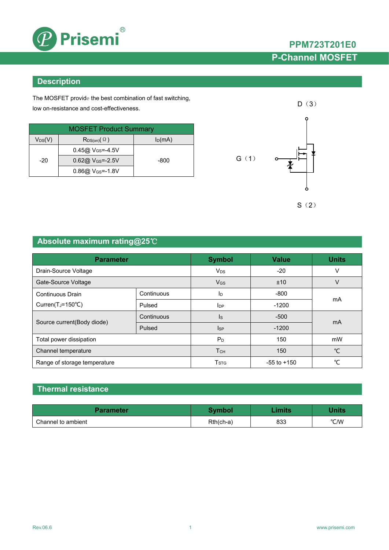

## **PPM723T201E0 P-Channel MOSFET**

### **Description**

The MOSFET provide the best combination of fast switching, low on-resistance and cost-effectiveness.

| <b>MOSFET Product Summary</b> |                                        |           |  |  |
|-------------------------------|----------------------------------------|-----------|--|--|
| $V_{DS}(V)$                   | $\mathsf{R}_{\mathsf{DS}(on)}(\Omega)$ | $I_D(mA)$ |  |  |
|                               | $0.45@V$ <sub>GS</sub> =-4.5V          |           |  |  |
| $-20$                         | $0.62@V$ <sub>GS</sub> =-2.5V          | -800      |  |  |
|                               | $0.86@$ V <sub>GS</sub> =-1.8V         |           |  |  |



## **Absolute maximum rating@25**℃

| <b>Parameter</b>               |            | <b>Symbol</b>          | <b>Value</b>    | <b>Units</b> |  |
|--------------------------------|------------|------------------------|-----------------|--------------|--|
| Drain-Source Voltage           |            | <b>V<sub>DS</sub></b>  | $-20$           | v            |  |
| Gate-Source Voltage            |            | <b>V<sub>GS</sub></b>  | ±10             | v            |  |
| Continuous Drain               | Continuous | ΙD                     | $-800$          | mA           |  |
| Curren( $T_J = 150^{\circ}C$ ) | Pulsed     | <b>I</b> <sub>DP</sub> | $-1200$         |              |  |
|                                | Continuous | $\mathsf{ls}$          | $-500$          | mA           |  |
| Source current(Body diode)     | Pulsed     | <b>I</b> sp            | $-1200$         |              |  |
| Total power dissipation        |            | $P_D$                  | 150             | mW           |  |
| Channel temperature            |            | T <sub>CH</sub>        | 150             | $^{\circ}$ C |  |
| Range of storage temperature   |            | T <sub>STG</sub>       | $-55$ to $+150$ | °C           |  |

### **Thermal resistance**

| <b>Parameter</b>   | Symbol      | <b>Limits</b> | Units |
|--------------------|-------------|---------------|-------|
| Channel to ambient | $Rth(ch-a)$ | 833           | °C/W  |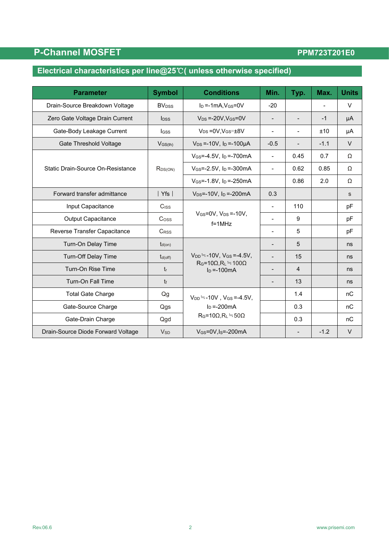## **P-Channel MOSFET**

### PPM723T201E0

# **Electrical characteristics per line@25**℃**( unless otherwise specified)**

| <b>Parameter</b>                                                       | <b>Symbol</b>            | <b>Conditions</b>                                                                              | Min.                     | Typ.                     | Max.   | <b>Units</b> |
|------------------------------------------------------------------------|--------------------------|------------------------------------------------------------------------------------------------|--------------------------|--------------------------|--------|--------------|
| Drain-Source Breakdown Voltage                                         | <b>BV</b> <sub>DSS</sub> | $I_D = -1mA$ , $V_{GS} = 0V$                                                                   | $-20$                    |                          |        | $\vee$       |
| Zero Gate Voltage Drain Current                                        | $I_{\text{DSS}}$         | $V_{DS} = -20V$ , $V_{GS} = 0V$                                                                |                          | $\overline{\phantom{a}}$ | $-1$   | μA           |
| Gate-Body Leakage Current                                              | <b>I</b> GSS             | $V_{DS} = 0V$ , $V_{GS} = \pm 8V$                                                              |                          |                          | ±10    | μA           |
| <b>Gate Threshold Voltage</b>                                          | $V$ <sub>GS(th)</sub>    | $V_{DS} = -10V$ , $I_D = -100\mu A$                                                            | $-0.5$                   | $\overline{\phantom{a}}$ | $-1.1$ | $\vee$       |
|                                                                        |                          | $V_{GS} = -4.5V$ , $I_D = -700mA$                                                              | $\blacksquare$           | 0.45                     | 0.7    | Ω            |
| Static Drain-Source On-Resistance                                      | $R_{DS(ON)}$             | $V_{GS} = -2.5V$ , $I_D = -300mA$                                                              | $\blacksquare$           | 0.62                     | 0.85   | Ω            |
|                                                                        |                          | $V_{GS} = -1.8V$ , $I_D = -250mA$                                                              |                          | 0.86                     | 2.0    | Ω            |
| Forward transfer admittance                                            | Yfs                      | $V_{DS} = -10V$ , $I_D = -200mA$                                                               | 0.3                      |                          |        | S            |
| Input Capacitance                                                      | $C$ <sub>ISS</sub>       |                                                                                                | $\blacksquare$           | 110                      |        | pF           |
| <b>Output Capacitance</b>                                              | C <sub>oss</sub>         | $V$ GS=0V, $V_{DS}$ =-10V,<br>$f = 1$ MHz                                                      |                          | 9                        |        | pF           |
| Reverse Transfer Capacitance                                           | <b>CRSS</b>              |                                                                                                |                          | 5                        |        | pF           |
| Turn-On Delay Time                                                     | $t_{d(on)}$              | $V_{DD} = -10V$ , $V_{GS} = -4.5V$ ,<br>$R_G = 10\Omega$ , $R_L = 100\Omega$<br>$I_D = -100mA$ |                          | 5                        |        | ns           |
| <b>Turn-Off Delay Time</b>                                             | $t_{d(off)}$             |                                                                                                |                          | 15                       |        | ns           |
| Turn-On Rise Time                                                      | $t_{r}$                  |                                                                                                | $\overline{\phantom{a}}$ | 4                        |        | ns           |
| Turn-On Fall Time                                                      | $t_{f}$                  |                                                                                                | $\overline{\phantom{0}}$ | 13                       |        | ns           |
| <b>Total Gate Charge</b><br>Qg<br>$V_{DD} = -10V$ , $V_{GS} = -4.5V$ , |                          |                                                                                                | 1.4                      |                          | nC     |              |
| Gate-Source Charge                                                     | Qgs                      | $\ln = -200 \text{mA}$                                                                         |                          | 0.3                      |        | nC           |
| Gate-Drain Charge<br>Qgd                                               |                          | $R_G=10\Omega, R_L=50\Omega$                                                                   |                          | 0.3                      |        | nC           |
| Drain-Source Diode Forward Voltage                                     | <b>V<sub>SD</sub></b>    | $V_{GS}$ =0V, Is=-200mA                                                                        |                          |                          | $-1.2$ | $\vee$       |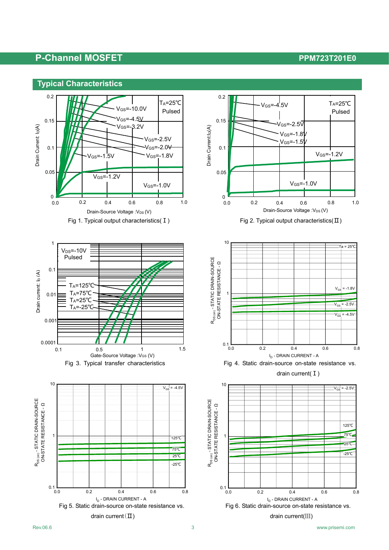









drain current(Ⅲ) drain current(Ⅲ)





drain current( I)

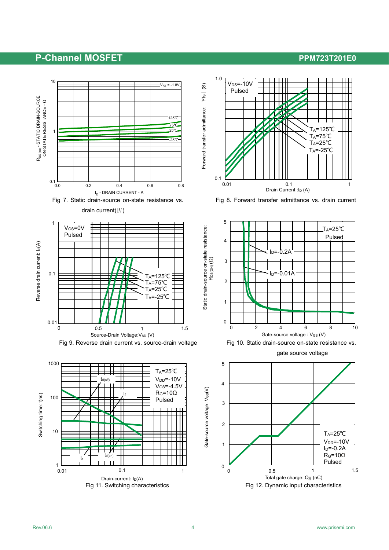









gate source voltage

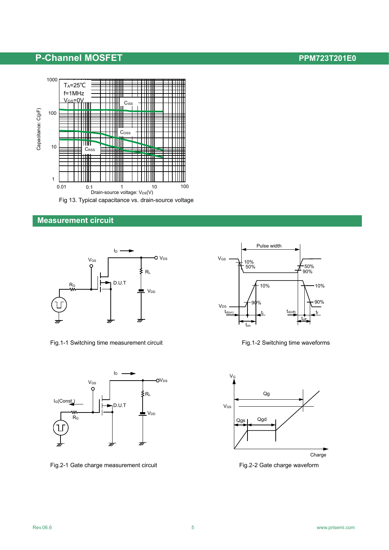

### **Measurement circuit**



Fig.1-1 Switching time measurement circuit Fig.1-2 Switching time waveforms



Fig.2-1 Gate charge measurement circuit Fig.2-2 Gate charge waveform



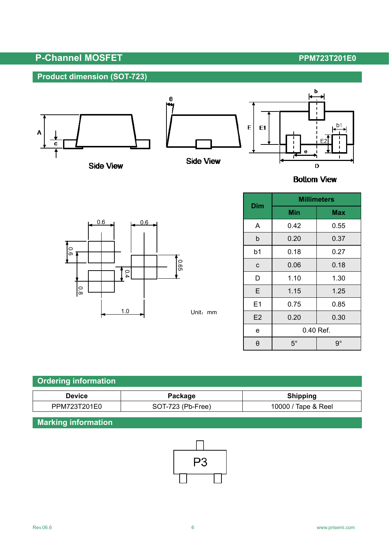## **Product dimension (SOT-723)**



**Side View** 





**Bottom View** 



Unit:mm

| Dim | <b>Millimeters</b> |             |  |  |
|-----|--------------------|-------------|--|--|
|     | Min                | <b>Max</b>  |  |  |
| Α   | 0.42               | 0.55        |  |  |
| b   | 0.20               | 0.37        |  |  |
| b1  | 0.18               | 0.27        |  |  |
| C   | 0.06               | 0.18        |  |  |
| D   | 1.10               | 1.30        |  |  |
| Е   | 1.15               | 1.25        |  |  |
| E1  | 0.75               | 0.85        |  |  |
| E2  | 0.20               | 0.30        |  |  |
| e   | 0.40 Ref.          |             |  |  |
| θ   | $5^{\circ}$        | $9^{\circ}$ |  |  |

| <b>Ordering information</b> |                   |                     |  |  |  |
|-----------------------------|-------------------|---------------------|--|--|--|
| <b>Device</b>               | Package           | <b>Shipping</b>     |  |  |  |
| PPM723T201E0                | SOT-723 (Pb-Free) | 10000 / Tape & Reel |  |  |  |

## **Marking information**